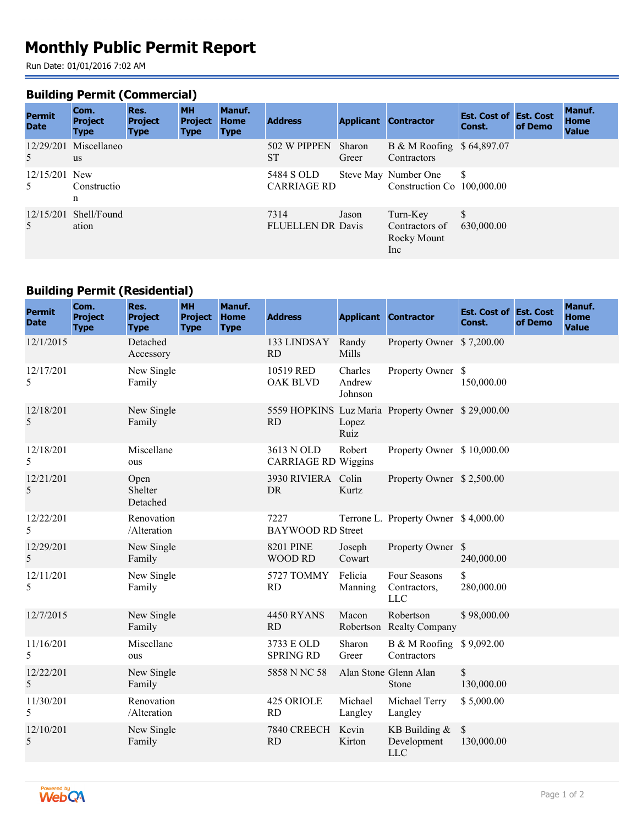# **Monthly Public Permit Report**

Run Date: 01/01/2016 7:02 AM

### **Building Permit (Commercial)**

| <b>Permit</b><br><b>Date</b> | Com.<br><b>Project</b><br><b>Type</b> | Res.<br><b>Project</b><br><b>Type</b> | <b>MH</b><br><b>Project</b><br><b>Type</b> | Manuf.<br><b>Home</b><br><b>Type</b> | <b>Address</b>                   |                 | <b>Applicant Contractor</b>                        | <b>Est. Cost of Est. Cost</b><br>Const. | of Demo | <b>Manuf.</b><br><b>Home</b><br><b>Value</b> |
|------------------------------|---------------------------------------|---------------------------------------|--------------------------------------------|--------------------------------------|----------------------------------|-----------------|----------------------------------------------------|-----------------------------------------|---------|----------------------------------------------|
| .5                           | $12/29/201$ Miscellaneo<br><b>us</b>  |                                       |                                            |                                      | 502 W PIPPEN<br>SТ               | Sharon<br>Greer | B & M Roofing \$64,897.07<br>Contractors           |                                         |         |                                              |
| $12/15/201$ New<br>.5        | Constructio<br>n                      |                                       |                                            |                                      | 5484 S OLD<br><b>CARRIAGE RD</b> |                 | Steve May Number One<br>Construction Co 100,000.00 | <sup>S</sup>                            |         |                                              |
| 5                            | $12/15/201$ Shell/Found<br>ation      |                                       |                                            |                                      | 7314<br><b>FLUELLEN DR Davis</b> | Jason           | Turn-Key<br>Contractors of<br>Rocky Mount<br>Inc   | \$<br>630,000.00                        |         |                                              |

## **Building Permit (Residential)**

| <b>Permit</b><br><b>Date</b> | Com.<br><b>Project</b><br><b>Type</b> | Res.<br><b>Project</b><br><b>Type</b> | <b>MH</b><br><b>Project</b><br><b>Type</b> | Manuf.<br><b>Home</b><br><b>Type</b> | <b>Address</b>                           |                              | <b>Applicant Contractor</b>                       | <b>Est. Cost of Est. Cost</b><br>Const. | of Demo | Manuf.<br><b>Home</b><br><b>Value</b> |
|------------------------------|---------------------------------------|---------------------------------------|--------------------------------------------|--------------------------------------|------------------------------------------|------------------------------|---------------------------------------------------|-----------------------------------------|---------|---------------------------------------|
| 12/1/2015                    |                                       | Detached<br>Accessory                 |                                            |                                      | 133 LINDSAY<br>RD                        | Randy<br>Mills               | Property Owner \$7,200.00                         |                                         |         |                                       |
| 12/17/201<br>5               |                                       | New Single<br>Family                  |                                            |                                      | 10519 RED<br><b>OAK BLVD</b>             | Charles<br>Andrew<br>Johnson | Property Owner \$                                 | 150,000.00                              |         |                                       |
| 12/18/201<br>5               |                                       | New Single<br>Family                  |                                            |                                      | <b>RD</b>                                | Lopez<br>Ruiz                | 5559 HOPKINS Luz Maria Property Owner \$29,000.00 |                                         |         |                                       |
| 12/18/201<br>5               |                                       | Miscellane<br>ous                     |                                            |                                      | 3613 N OLD<br><b>CARRIAGE RD Wiggins</b> | Robert                       | Property Owner \$10,000.00                        |                                         |         |                                       |
| 12/21/201<br>5               |                                       | Open<br><b>Shelter</b><br>Detached    |                                            |                                      | 3930 RIVIERA Colin<br><b>DR</b>          | Kurtz                        | Property Owner \$2,500.00                         |                                         |         |                                       |
| 12/22/201<br>5               |                                       | Renovation<br>/Alteration             |                                            |                                      | 7227<br><b>BAYWOOD RD Street</b>         |                              | Terrone L. Property Owner \$4,000.00              |                                         |         |                                       |
| 12/29/201<br>5               |                                       | New Single<br>Family                  |                                            |                                      | <b>8201 PINE</b><br><b>WOOD RD</b>       | Joseph<br>Cowart             | Property Owner \$                                 | 240,000.00                              |         |                                       |
| 12/11/201<br>5               |                                       | New Single<br>Family                  |                                            |                                      | 5727 TOMMY<br>RD                         | Felicia<br>Manning           | Four Seasons<br>Contractors,<br><b>LLC</b>        | \$<br>280,000.00                        |         |                                       |
| 12/7/2015                    |                                       | New Single<br>Family                  |                                            |                                      | <b>4450 RYANS</b><br><b>RD</b>           | Macon                        | Robertson<br>Robertson Realty Company             | \$98,000.00                             |         |                                       |
| 11/16/201<br>5               |                                       | Miscellane<br>ous                     |                                            |                                      | 3733 E OLD<br><b>SPRING RD</b>           | Sharon<br>Greer              | B & M Roofing \$9,092.00<br>Contractors           |                                         |         |                                       |
| 12/22/201<br>5               |                                       | New Single<br>Family                  |                                            |                                      | 5858 N NC 58                             |                              | Alan Stone Glenn Alan<br>Stone                    | $\mathbb{S}$<br>130,000.00              |         |                                       |
| 11/30/201<br>5               |                                       | Renovation<br>/Alteration             |                                            |                                      | 425 ORIOLE<br><b>RD</b>                  | Michael<br>Langley           | Michael Terry<br>Langley                          | \$5,000.00                              |         |                                       |
| 12/10/201<br>5               |                                       | New Single<br>Family                  |                                            |                                      | 7840 CREECH<br>RD                        | Kevin<br>Kirton              | KB Building $&$<br>Development<br><b>LLC</b>      | $\mathbb{S}$<br>130,000.00              |         |                                       |